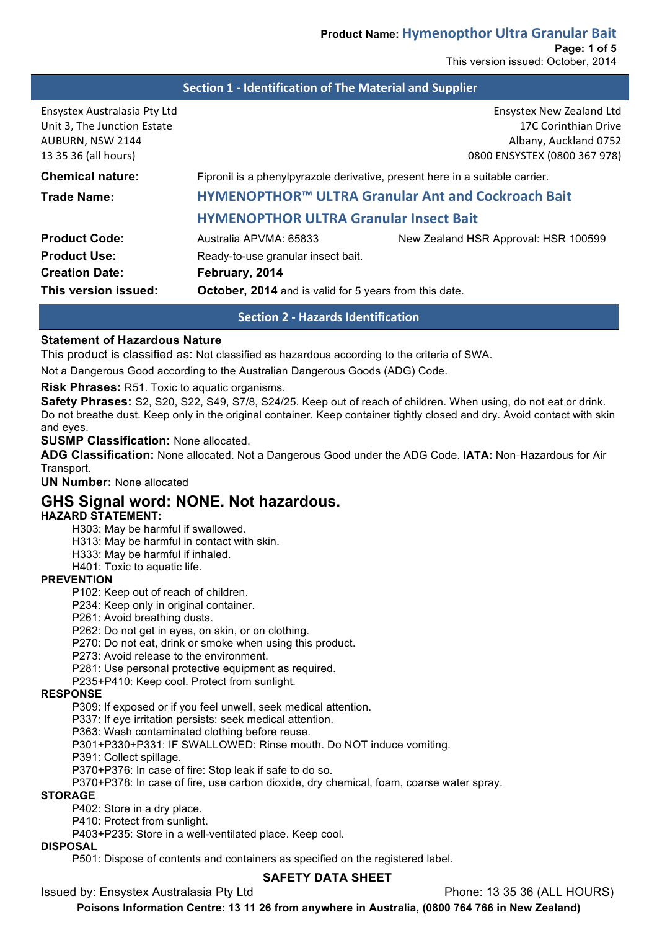### **Section 1 - Identification of The Material and Supplier**

| Ensystex Australasia Pty Ltd<br>Unit 3, The Junction Estate<br>AUBURN, NSW 2144<br>13 35 36 (all hours) |                                                                              | Ensystex New Zealand Ltd<br>17C Corinthian Drive<br>Albany, Auckland 0752<br>0800 ENSYSTEX (0800 367 978) |  |
|---------------------------------------------------------------------------------------------------------|------------------------------------------------------------------------------|-----------------------------------------------------------------------------------------------------------|--|
| <b>Chemical nature:</b>                                                                                 | Fipronil is a phenylpyrazole derivative, present here in a suitable carrier. |                                                                                                           |  |
| <b>Trade Name:</b>                                                                                      | HYMENOPTHOR™ ULTRA Granular Ant and Cockroach Bait                           |                                                                                                           |  |
|                                                                                                         | <b>HYMENOPTHOR ULTRA Granular Insect Bait</b>                                |                                                                                                           |  |
| <b>Product Code:</b>                                                                                    | Australia APVMA: 65833                                                       | New Zealand HSR Approval: HSR 100599                                                                      |  |
| <b>Product Use:</b>                                                                                     | Ready-to-use granular insect bait.                                           |                                                                                                           |  |
| <b>Creation Date:</b>                                                                                   | February, 2014                                                               |                                                                                                           |  |
| This version issued:                                                                                    | <b>October, 2014</b> and is valid for 5 years from this date.                |                                                                                                           |  |
|                                                                                                         |                                                                              |                                                                                                           |  |

### **Section 2 - Hazards Identification**

#### **Statement of Hazardous Nature**

This product is classified as: Not classified as hazardous according to the criteria of SWA.

Not a Dangerous Good according to the Australian Dangerous Goods (ADG) Code.

**Risk Phrases:** R51. Toxic to aquatic organisms.

**Safety Phrases:** S2, S20, S22, S49, S7/8, S24/25. Keep out of reach of children. When using, do not eat or drink. Do not breathe dust. Keep only in the original container. Keep container tightly closed and dry. Avoid contact with skin and eyes.

**SUSMP Classification:** None allocated.

**ADG Classification:** None allocated. Not a Dangerous Good under the ADG Code. **IATA:** Non‐Hazardous for Air Transport.

**UN Number:** None allocated

## **GHS Signal word: NONE. Not hazardous.**

### **HAZARD STATEMENT:**

H303: May be harmful if swallowed.

H313: May be harmful in contact with skin.

H333: May be harmful if inhaled.

H401: Toxic to aquatic life.

#### **PREVENTION**

P102: Keep out of reach of children.

P234: Keep only in original container.

P261: Avoid breathing dusts.

P262: Do not get in eyes, on skin, or on clothing.

P270: Do not eat, drink or smoke when using this product.

P273: Avoid release to the environment.

P281: Use personal protective equipment as required.

P235+P410: Keep cool. Protect from sunlight.

#### **RESPONSE**

P309: If exposed or if you feel unwell, seek medical attention.

P337: If eye irritation persists: seek medical attention.

P363: Wash contaminated clothing before reuse.

P301+P330+P331: IF SWALLOWED: Rinse mouth. Do NOT induce vomiting.

P391: Collect spillage.

P370+P376: In case of fire: Stop leak if safe to do so.

P370+P378: In case of fire, use carbon dioxide, dry chemical, foam, coarse water spray.

### **STORAGE**

P402: Store in a dry place.

P410: Protect from sunlight.

P403+P235: Store in a well-ventilated place. Keep cool.

#### **DISPOSAL**

P501: Dispose of contents and containers as specified on the registered label.

#### **SAFETY DATA SHEET**

Issued by: Ensystex Australasia Pty Ltd Phone: 13 35 36 (ALL HOURS)

**Poisons Information Centre: 13 11 26 from anywhere in Australia, (0800 764 766 in New Zealand)**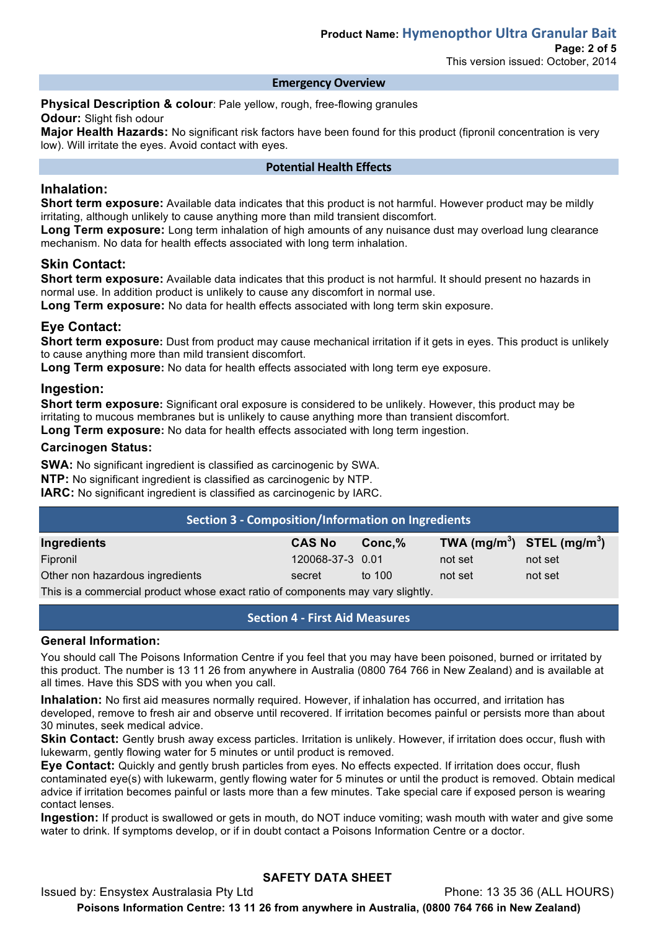#### **Emergency Overview**

**Physical Description & colour**: Pale yellow, rough, free-flowing granules **Odour:** Slight fish odour

**Major Health Hazards:** No significant risk factors have been found for this product (fipronil concentration is very low). Will irritate the eyes. Avoid contact with eyes.

### **Potential Health Effects**

### **Inhalation:**

**Short term exposure:** Available data indicates that this product is not harmful. However product may be mildly irritating, although unlikely to cause anything more than mild transient discomfort.

Long Term exposure: Long term inhalation of high amounts of any nuisance dust may overload lung clearance mechanism. No data for health effects associated with long term inhalation.

### **Skin Contact:**

**Short term exposure:** Available data indicates that this product is not harmful. It should present no hazards in normal use. In addition product is unlikely to cause any discomfort in normal use.

**Long Term exposure:** No data for health effects associated with long term skin exposure.

### **Eye Contact:**

**Short term exposure:** Dust from product may cause mechanical irritation if it gets in eyes. This product is unlikely to cause anything more than mild transient discomfort.

**Long Term exposure:** No data for health effects associated with long term eye exposure.

### **Ingestion:**

**Short term exposure:** Significant oral exposure is considered to be unlikely. However, this product may be irritating to mucous membranes but is unlikely to cause anything more than transient discomfort.

**Long Term exposure:** No data for health effects associated with long term ingestion.

### **Carcinogen Status:**

**SWA:** No significant ingredient is classified as carcinogenic by SWA. **NTP:** No significant ingredient is classified as carcinogenic by NTP.

**IARC:** No significant ingredient is classified as carcinogenic by IARC.

| Section 3 - Composition/Information on Ingredients |                  |           |                                |         |  |  |
|----------------------------------------------------|------------------|-----------|--------------------------------|---------|--|--|
| Ingredients                                        | <b>CAS No</b>    | $Conc.\%$ | TWA $(mg/m^3)$ STEL $(mg/m^3)$ |         |  |  |
| Fipronil                                           | 120068-37-3 0.01 |           | not set                        | not set |  |  |
| Other non hazardous ingredients                    | secret           | to 100    | not set                        | not set |  |  |
|                                                    |                  |           |                                |         |  |  |

This is a commercial product whose exact ratio of components may vary slightly.

### **Section 4 - First Aid Measures**

### **General Information:**

You should call The Poisons Information Centre if you feel that you may have been poisoned, burned or irritated by this product. The number is 13 11 26 from anywhere in Australia (0800 764 766 in New Zealand) and is available at all times. Have this SDS with you when you call.

**Inhalation:** No first aid measures normally required. However, if inhalation has occurred, and irritation has developed, remove to fresh air and observe until recovered. If irritation becomes painful or persists more than about 30 minutes, seek medical advice.

**Skin Contact:** Gently brush away excess particles. Irritation is unlikely. However, if irritation does occur, flush with lukewarm, gently flowing water for 5 minutes or until product is removed.

**Eye Contact:** Quickly and gently brush particles from eyes. No effects expected. If irritation does occur, flush contaminated eye(s) with lukewarm, gently flowing water for 5 minutes or until the product is removed. Obtain medical advice if irritation becomes painful or lasts more than a few minutes. Take special care if exposed person is wearing contact lenses.

**Ingestion:** If product is swallowed or gets in mouth, do NOT induce vomiting; wash mouth with water and give some water to drink. If symptoms develop, or if in doubt contact a Poisons Information Centre or a doctor.

## **SAFETY DATA SHEET**

Issued by: Ensystex Australasia Pty Ltd Phone: 13 35 36 (ALL HOURS) **Poisons Information Centre: 13 11 26 from anywhere in Australia, (0800 764 766 in New Zealand)**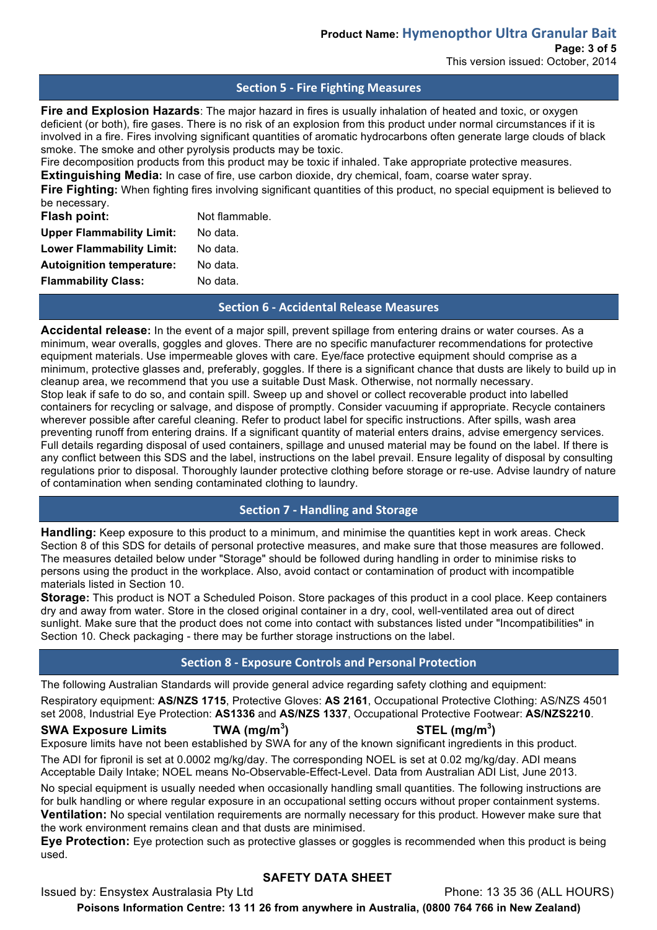**Page: 3 of 5**

This version issued: October, 2014

## **Section 5 - Fire Fighting Measures**

**Fire and Explosion Hazards**: The major hazard in fires is usually inhalation of heated and toxic, or oxygen deficient (or both), fire gases. There is no risk of an explosion from this product under normal circumstances if it is involved in a fire. Fires involving significant quantities of aromatic hydrocarbons often generate large clouds of black smoke. The smoke and other pyrolysis products may be toxic.

Fire decomposition products from this product may be toxic if inhaled. Take appropriate protective measures.

**Extinguishing Media:** In case of fire, use carbon dioxide, dry chemical, foam, coarse water spray.

**Fire Fighting:** When fighting fires involving significant quantities of this product, no special equipment is believed to be necessary.

| Flash point:                     | Not flammable. |  |
|----------------------------------|----------------|--|
| <b>Upper Flammability Limit:</b> | No data.       |  |
| <b>Lower Flammability Limit:</b> | No data.       |  |
| <b>Autoignition temperature:</b> | No data.       |  |
| <b>Flammability Class:</b>       | No data.       |  |

### **Section 6 - Accidental Release Measures**

**Accidental release:** In the event of a major spill, prevent spillage from entering drains or water courses. As a minimum, wear overalls, goggles and gloves. There are no specific manufacturer recommendations for protective equipment materials. Use impermeable gloves with care. Eye/face protective equipment should comprise as a minimum, protective glasses and, preferably, goggles. If there is a significant chance that dusts are likely to build up in cleanup area, we recommend that you use a suitable Dust Mask. Otherwise, not normally necessary. Stop leak if safe to do so, and contain spill. Sweep up and shovel or collect recoverable product into labelled containers for recycling or salvage, and dispose of promptly. Consider vacuuming if appropriate. Recycle containers wherever possible after careful cleaning. Refer to product label for specific instructions. After spills, wash area preventing runoff from entering drains. If a significant quantity of material enters drains, advise emergency services. Full details regarding disposal of used containers, spillage and unused material may be found on the label. If there is any conflict between this SDS and the label, instructions on the label prevail. Ensure legality of disposal by consulting regulations prior to disposal. Thoroughly launder protective clothing before storage or re-use. Advise laundry of nature of contamination when sending contaminated clothing to laundry.

## **Section 7 - Handling and Storage**

**Handling:** Keep exposure to this product to a minimum, and minimise the quantities kept in work areas. Check Section 8 of this SDS for details of personal protective measures, and make sure that those measures are followed. The measures detailed below under "Storage" should be followed during handling in order to minimise risks to persons using the product in the workplace. Also, avoid contact or contamination of product with incompatible materials listed in Section 10.

**Storage:** This product is NOT a Scheduled Poison. Store packages of this product in a cool place. Keep containers dry and away from water. Store in the closed original container in a dry, cool, well-ventilated area out of direct sunlight. Make sure that the product does not come into contact with substances listed under "Incompatibilities" in Section 10. Check packaging - there may be further storage instructions on the label.

## **Section 8 - Exposure Controls and Personal Protection**

The following Australian Standards will provide general advice regarding safety clothing and equipment: Respiratory equipment: **AS/NZS 1715**, Protective Gloves: **AS 2161**, Occupational Protective Clothing: AS/NZS 4501 set 2008, Industrial Eye Protection: **AS1336** and **AS/NZS 1337**, Occupational Protective Footwear: **AS/NZS2210**.

# **SWA Exposure Limits TWA (mg/m<sup>3</sup>**

## **) STEL (mg/m<sup>3</sup> )**

Exposure limits have not been established by SWA for any of the known significant ingredients in this product. The ADI for fipronil is set at 0.0002 mg/kg/day. The corresponding NOEL is set at 0.02 mg/kg/day. ADI means Acceptable Daily Intake; NOEL means No-Observable-Effect-Level. Data from Australian ADI List, June 2013.

No special equipment is usually needed when occasionally handling small quantities. The following instructions are for bulk handling or where regular exposure in an occupational setting occurs without proper containment systems. **Ventilation:** No special ventilation requirements are normally necessary for this product. However make sure that the work environment remains clean and that dusts are minimised.

**Eye Protection:** Eye protection such as protective glasses or goggles is recommended when this product is being used.

## **SAFETY DATA SHEET**

Issued by: Ensystex Australasia Pty Ltd Phone: 13 35 36 (ALL HOURS)

**Poisons Information Centre: 13 11 26 from anywhere in Australia, (0800 764 766 in New Zealand)**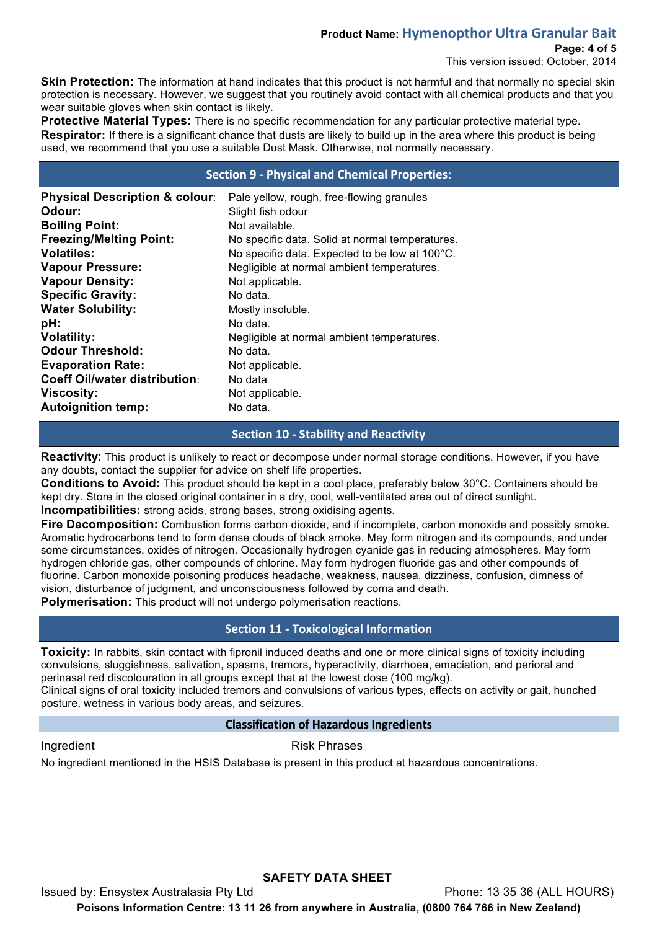## **Product Name: Hymenopthor Ultra Granular Bait**

## **Page: 4 of 5**

This version issued: October, 2014

**Skin Protection:** The information at hand indicates that this product is not harmful and that normally no special skin protection is necessary. However, we suggest that you routinely avoid contact with all chemical products and that you wear suitable gloves when skin contact is likely.

**Protective Material Types:** There is no specific recommendation for any particular protective material type. **Respirator:** If there is a significant chance that dusts are likely to build up in the area where this product is being used, we recommend that you use a suitable Dust Mask. Otherwise, not normally necessary.

### **Section 9 - Physical and Chemical Properties:**

| <b>Physical Description &amp; colour:</b><br>Odour: | Pale yellow, rough, free-flowing granules<br>Slight fish odour |
|-----------------------------------------------------|----------------------------------------------------------------|
| <b>Boiling Point:</b>                               | Not available.                                                 |
| <b>Freezing/Melting Point:</b>                      | No specific data. Solid at normal temperatures.                |
| <b>Volatiles:</b>                                   | No specific data. Expected to be low at 100°C.                 |
| <b>Vapour Pressure:</b>                             | Negligible at normal ambient temperatures.                     |
| <b>Vapour Density:</b>                              | Not applicable.                                                |
| <b>Specific Gravity:</b>                            | No data.                                                       |
| <b>Water Solubility:</b>                            | Mostly insoluble.                                              |
| pH:                                                 | No data.                                                       |
| <b>Volatility:</b>                                  | Negligible at normal ambient temperatures.                     |
| <b>Odour Threshold:</b>                             | No data.                                                       |
| <b>Evaporation Rate:</b>                            | Not applicable.                                                |
| <b>Coeff Oil/water distribution:</b>                | No data                                                        |
| <b>Viscosity:</b>                                   | Not applicable.                                                |
| <b>Autoignition temp:</b>                           | No data.                                                       |

## **Section 10 - Stability and Reactivity**

**Reactivity**: This product is unlikely to react or decompose under normal storage conditions. However, if you have any doubts, contact the supplier for advice on shelf life properties.

**Conditions to Avoid:** This product should be kept in a cool place, preferably below 30°C. Containers should be kept dry. Store in the closed original container in a dry, cool, well-ventilated area out of direct sunlight. **Incompatibilities:** strong acids, strong bases, strong oxidising agents.

**Fire Decomposition:** Combustion forms carbon dioxide, and if incomplete, carbon monoxide and possibly smoke. Aromatic hydrocarbons tend to form dense clouds of black smoke. May form nitrogen and its compounds, and under some circumstances, oxides of nitrogen. Occasionally hydrogen cyanide gas in reducing atmospheres. May form hydrogen chloride gas, other compounds of chlorine. May form hydrogen fluoride gas and other compounds of fluorine. Carbon monoxide poisoning produces headache, weakness, nausea, dizziness, confusion, dimness of vision, disturbance of judgment, and unconsciousness followed by coma and death.

**Polymerisation:** This product will not undergo polymerisation reactions.

## **Section 11 - Toxicological Information**

**Toxicity:** In rabbits, skin contact with fipronil induced deaths and one or more clinical signs of toxicity including convulsions, sluggishness, salivation, spasms, tremors, hyperactivity, diarrhoea, emaciation, and perioral and perinasal red discolouration in all groups except that at the lowest dose (100 mg/kg).

Clinical signs of oral toxicity included tremors and convulsions of various types, effects on activity or gait, hunched posture, wetness in various body areas, and seizures.

### **Classification of Hazardous Ingredients**

Ingredient **Risk Phrases** 

No ingredient mentioned in the HSIS Database is present in this product at hazardous concentrations.

**SAFETY DATA SHEET** Issued by: Ensystex Australasia Pty Ltd Phone: 13 35 36 (ALL HOURS) **Poisons Information Centre: 13 11 26 from anywhere in Australia, (0800 764 766 in New Zealand)**